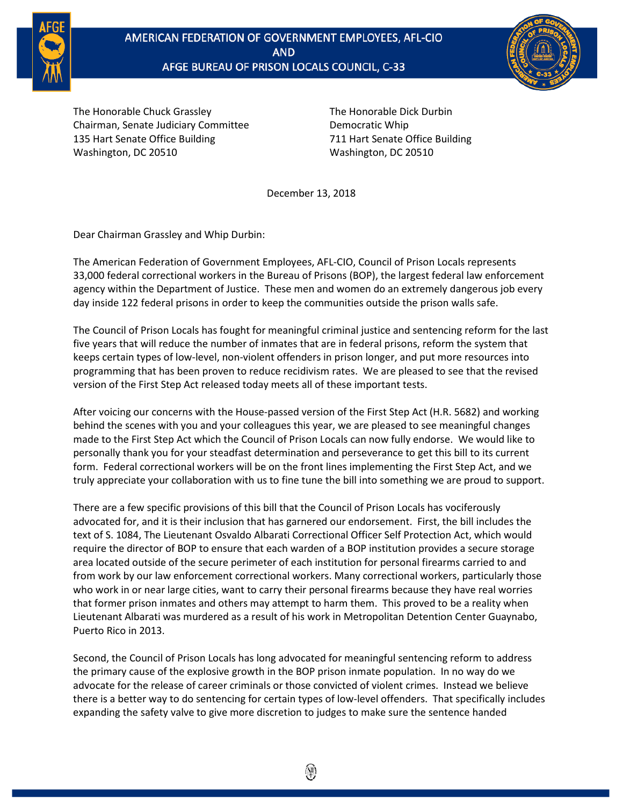

## AMERICAN FEDERATION OF GOVERNMENT EMPLOYEES, AFL-CIO AFGE BUREAU OF PRISON LOCALS COUNCIL, C-33



The Honorable Chuck Grassley Chairman, Senate Judiciary Committee 135 Hart Senate Office Building Washington, DC 20510

The Honorable Dick Durbin Democratic Whip 711 Hart Senate Office Building Washington, DC 20510

December 13, 2018

Dear Chairman Grassley and Whip Durbin:

The American Federation of Government Employees, AFL-CIO, Council of Prison Locals represents 33,000 federal correctional workers in the Bureau of Prisons (BOP), the largest federal law enforcement agency within the Department of Justice. These men and women do an extremely dangerous job every day inside 122 federal prisons in order to keep the communities outside the prison walls safe.

The Council of Prison Locals has fought for meaningful criminal justice and sentencing reform for the last five years that will reduce the number of inmates that are in federal prisons, reform the system that keeps certain types of low-level, non-violent offenders in prison longer, and put more resources into programming that has been proven to reduce recidivism rates. We are pleased to see that the revised version of the First Step Act released today meets all of these important tests.

After voicing our concerns with the House-passed version of the First Step Act (H.R. 5682) and working behind the scenes with you and your colleagues this year, we are pleased to see meaningful changes made to the First Step Act which the Council of Prison Locals can now fully endorse. We would like to personally thank you for your steadfast determination and perseverance to get this bill to its current form. Federal correctional workers will be on the front lines implementing the First Step Act, and we truly appreciate your collaboration with us to fine tune the bill into something we are proud to support.

There are a few specific provisions of this bill that the Council of Prison Locals has vociferously advocated for, and it is their inclusion that has garnered our endorsement. First, the bill includes the text of S. 1084, The Lieutenant Osvaldo Albarati Correctional Officer Self Protection Act, which would require the director of BOP to ensure that each warden of a BOP institution provides a secure storage area located outside of the secure perimeter of each institution for personal firearms carried to and from work by our law enforcement correctional workers. Many correctional workers, particularly those who work in or near large cities, want to carry their personal firearms because they have real worries that former prison inmates and others may attempt to harm them. This proved to be a reality when Lieutenant Albarati was murdered as a result of his work in Metropolitan Detention Center Guaynabo, Puerto Rico in 2013.

Second, the Council of Prison Locals has long advocated for meaningful sentencing reform to address the primary cause of the explosive growth in the BOP prison inmate population. In no way do we advocate for the release of career criminals or those convicted of violent crimes. Instead we believe there is a better way to do sentencing for certain types of low-level offenders. That specifically includes expanding the safety valve to give more discretion to judges to make sure the sentence handed

۱